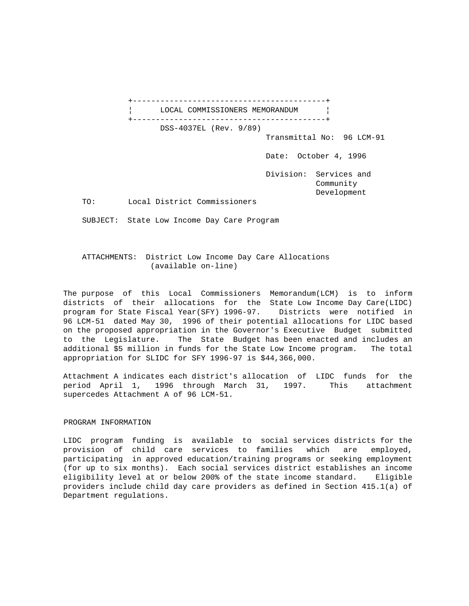+------------------------------------------+ LOCAL COMMISSIONERS MEMORANDUM | +------------------------------------------+ DSS-4037EL (Rev. 9/89) Transmittal No: 96 LCM-91 Date: October 4, 1996 Division: Services and Community Development TO: Local District Commissioners SUBJECT: State Low Income Day Care Program

 ATTACHMENTS: District Low Income Day Care Allocations (available on-line)

The purpose of this Local Commissioners Memorandum(LCM) is to inform districts of their allocations for the State Low Income Day Care(LIDC) program for State Fiscal Year(SFY) 1996-97. Districts were notified in 96 LCM-51 dated May 30, 1996 of their potential allocations for LIDC based on the proposed appropriation in the Governor's Executive Budget submitted to the Legislature. The State Budget has been enacted and includes an additional \$5 million in funds for the State Low Income program. The total appropriation for SLIDC for SFY 1996-97 is \$44,366,000.

Attachment A indicates each district's allocation of LIDC funds for the period April 1, 1996 through March 31, 1997. This attachment supercedes Attachment A of 96 LCM-51.

## PROGRAM INFORMATION

LIDC program funding is available to social services districts for the provision of child care services to families which are employed, participating in approved education/training programs or seeking employment (for up to six months). Each social services district establishes an income eligibility level at or below 200% of the state income standard. Eligible providers include child day care providers as defined in Section 415.1(a) of Department regulations.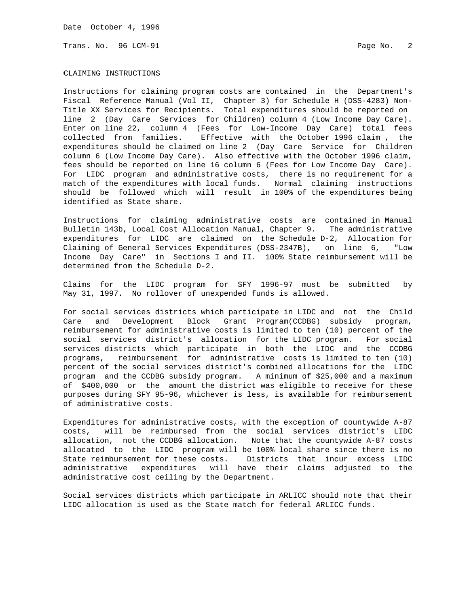Date October 4, 1996

Trans. No. 96 LCM-91 Page No. 2

## CLAIMING INSTRUCTIONS

Instructions for claiming program costs are contained in the Department's Fiscal Reference Manual (Vol II, Chapter 3) for Schedule H (DSS-4283) Non-Title XX Services for Recipients. Total expenditures should be reported on line 2 (Day Care Services for Children) column 4 (Low Income Day Care). Enter on line 22, column 4 (Fees for Low-Income Day Care) total fees collected from families. Effective with the October 1996 claim , the expenditures should be claimed on line 2 (Day Care Service for Children column 6 (Low Income Day Care). Also effective with the October 1996 claim, fees should be reported on line 16 column 6 (Fees for Low Income Day Care). For LIDC program and administrative costs, there is no requirement for a match of the expenditures with local funds. Normal claiming instructions should be followed which will result in 100% of the expenditures being identified as State share.

Instructions for claiming administrative costs are contained in Manual Bulletin 143b, Local Cost Allocation Manual, Chapter 9. The administrative expenditures for LIDC are claimed on the Schedule D-2, Allocation for Claiming of General Services Expenditures (DSS-2347B), on line 6, "Low Income Day Care" in Sections I and II. 100% State reimbursement will be determined from the Schedule D-2.

Claims for the LIDC program for SFY 1996-97 must be submitted by May 31, 1997. No rollover of unexpended funds is allowed.

For social services districts which participate in LIDC and not the Child Care and Development Block Grant Program(CCDBG) subsidy program, reimbursement for administrative costs is limited to ten (10) percent of the social services district's allocation for the LIDC program. For social services districts which participate in both the LIDC and the CCDBG programs, reimbursement for administrative costs is limited to ten (10) percent of the social services district's combined allocations for the LIDC program and the CCDBG subsidy program. A minimum of \$25,000 and a maximum of \$400,000 or the amount the district was eligible to receive for these purposes during SFY 95-96, whichever is less, is available for reimbursement of administrative costs.

Expenditures for administrative costs, with the exception of countywide A-87 costs, will be reimbursed from the social services district's LIDC allocation, not the CCDBG allocation. Note that the countywide A-87 costs allocated to the LIDC program will be 100% local share since there is no State reimbursement for these costs. Districts that incur excess LIDC administrative expenditures will have their claims adjusted to the administrative cost ceiling by the Department.

Social services districts which participate in ARLICC should note that their LIDC allocation is used as the State match for federal ARLICC funds.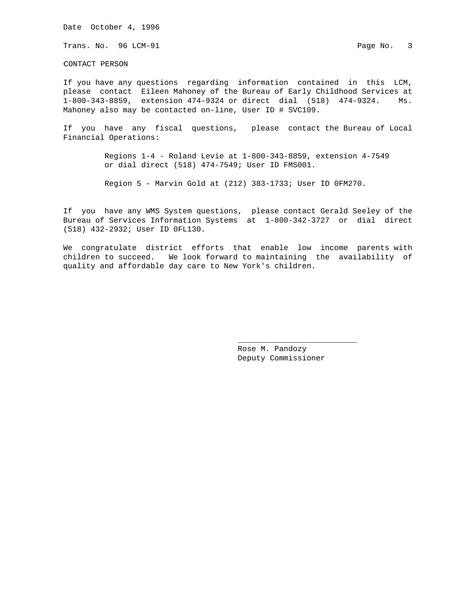Date October 4, 1996

Trans. No. 96 LCM-91 **Page No. 3** Page No. 3

CONTACT PERSON

If you have any questions regarding information contained in this LCM, please contact Eileen Mahoney of the Bureau of Early Childhood Services at 1-800-343-8859, extension 474-9324 or direct dial (518) 474-9324. Ms. Mahoney also may be contacted on-line, User ID # SVC109.

If you have any fiscal questions, please contact the Bureau of Local Financial Operations:

> Regions 1-4 - Roland Levie at 1-800-343-8859, extension 4-7549 or dial direct (518) 474-7549; User ID FMS001.

Region 5 - Marvin Gold at (212) 383-1733; User ID 0FM270.

If you have any WMS System questions, please contact Gerald Seeley of the Bureau of Services Information Systems at 1-800-342-3727 or dial direct (518) 432-2932; User ID 0FL130.

We congratulate district efforts that enable low income parents with children to succeed. We look forward to maintaining the availability of quality and affordable day care to New York's children.

 $\frac{1}{\sqrt{2}}$  , and the set of the set of the set of the set of the set of the set of the set of the set of the set of the set of the set of the set of the set of the set of the set of the set of the set of the set of the

 Rose M. Pandozy Deputy Commissioner